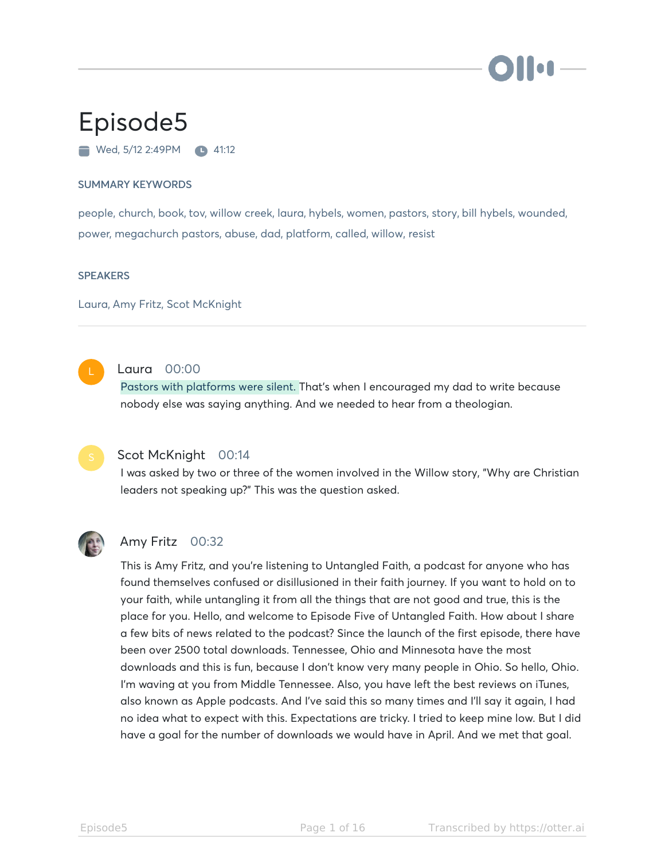

# Episode5

 $\blacksquare$  Wed, 5/12 2:49PM  $\blacksquare$  41:12

#### SUMMARY KEYWORDS

people, church, book, tov, willow creek, laura, hybels, women, pastors, story, bill hybels, wounded, power, megachurch pastors, abuse, dad, platform, called, willow, resist

#### **SPEAKERS**

Laura, Amy Fritz, Scot McKnight



#### Laura 00:00

Pastors with platforms were silent. That's when I encouraged my dad to write because nobody else was saying anything. And we needed to hear from a theologian.

#### Scot McKnight 00:14

I was asked by two or three of the women involved in the Willow story, "Why are Christian leaders not speaking up?" This was the question asked.



#### Amy Fritz 00:32

This is Amy Fritz, and you're listening to Untangled Faith, a podcast for anyone who has found themselves confused or disillusioned in their faith journey. If you want to hold on to your faith, while untangling it from all the things that are not good and true, this is the place for you. Hello, and welcome to Episode Five of Untangled Faith. How about I share a few bits of news related to the podcast? Since the launch of the first episode, there have been over 2500 total downloads. Tennessee, Ohio and Minnesota have the most downloads and this is fun, because I don't know very many people in Ohio. So hello, Ohio. I'm waving at you from Middle Tennessee. Also, you have left the best reviews on iTunes, also known as Apple podcasts. And I've said this so many times and I'll say it again, I had no idea what to expect with this. Expectations are tricky. I tried to keep mine low. But I did have a goal for the number of downloads we would have in April. And we met that goal.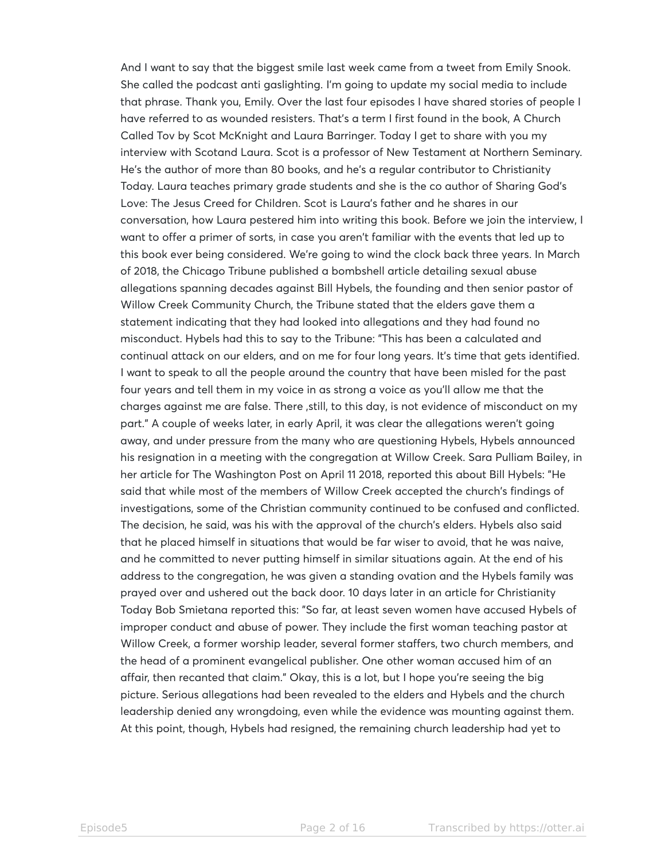And I want to say that the biggest smile last week came from a tweet from Emily Snook. She called the podcast anti gaslighting. I'm going to update my social media to include that phrase. Thank you, Emily. Over the last four episodes I have shared stories of people I have referred to as wounded resisters. That's a term I first found in the book, A Church Called Tov by Scot McKnight and Laura Barringer. Today I get to share with you my interview with Scotand Laura. Scot is a professor of New Testament at Northern Seminary. He's the author of more than 80 books, and he's a regular contributor to Christianity Today. Laura teaches primary grade students and she is the co author of Sharing God's Love: The Jesus Creed for Children. Scot is Laura's father and he shares in our conversation, how Laura pestered him into writing this book. Before we join the interview, I want to offer a primer of sorts, in case you aren't familiar with the events that led up to this book ever being considered. We're going to wind the clock back three years. In March of 2018, the Chicago Tribune published a bombshell article detailing sexual abuse allegations spanning decades against Bill Hybels, the founding and then senior pastor of Willow Creek Community Church, the Tribune stated that the elders gave them a statement indicating that they had looked into allegations and they had found no misconduct. Hybels had this to say to the Tribune: "This has been a calculated and continual attack on our elders, and on me for four long years. It's time that gets identified. I want to speak to all the people around the country that have been misled for the past four years and tell them in my voice in as strong a voice as you'll allow me that the charges against me are false. There ,still, to this day, is not evidence of misconduct on my part." A couple of weeks later, in early April, it was clear the allegations weren't going away, and under pressure from the many who are questioning Hybels, Hybels announced his resignation in a meeting with the congregation at Willow Creek. Sara Pulliam Bailey, in her article for The Washington Post on April 11 2018, reported this about Bill Hybels: "He said that while most of the members of Willow Creek accepted the church's findings of investigations, some of the Christian community continued to be confused and conflicted. The decision, he said, was his with the approval of the church's elders. Hybels also said that he placed himself in situations that would be far wiser to avoid, that he was naive, and he committed to never putting himself in similar situations again. At the end of his address to the congregation, he was given a standing ovation and the Hybels family was prayed over and ushered out the back door. 10 days later in an article for Christianity Today Bob Smietana reported this: "So far, at least seven women have accused Hybels of improper conduct and abuse of power. They include the first woman teaching pastor at Willow Creek, a former worship leader, several former staffers, two church members, and the head of a prominent evangelical publisher. One other woman accused him of an affair, then recanted that claim." Okay, this is a lot, but I hope you're seeing the big picture. Serious allegations had been revealed to the elders and Hybels and the church leadership denied any wrongdoing, even while the evidence was mounting against them. At this point, though, Hybels had resigned, the remaining church leadership had yet to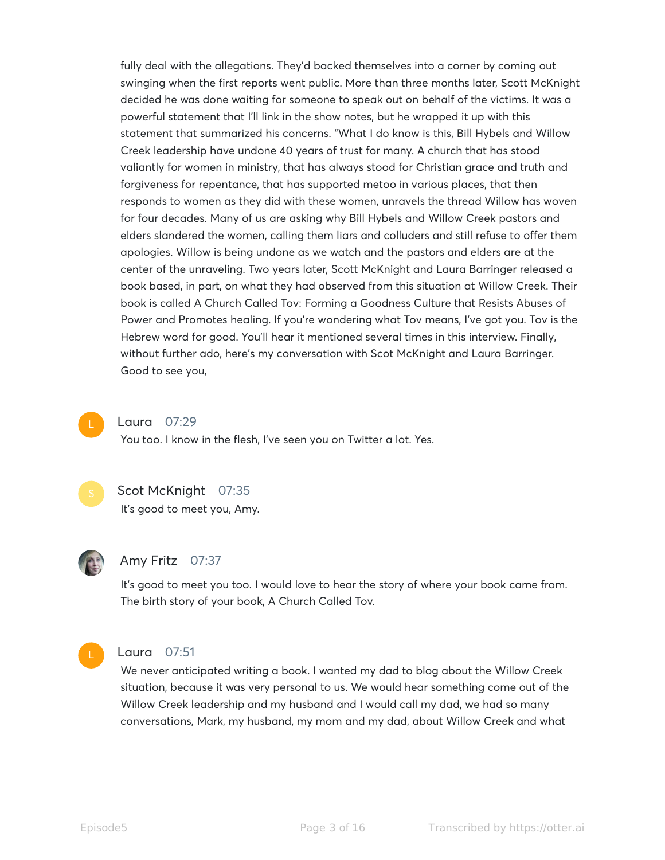fully deal with the allegations. They'd backed themselves into a corner by coming out swinging when the first reports went public. More than three months later, Scott McKnight decided he was done waiting for someone to speak out on behalf of the victims. It was a powerful statement that I'll link in the show notes, but he wrapped it up with this statement that summarized his concerns. "What I do know is this, Bill Hybels and Willow Creek leadership have undone 40 years of trust for many. A church that has stood valiantly for women in ministry, that has always stood for Christian grace and truth and forgiveness for repentance, that has supported metoo in various places, that then responds to women as they did with these women, unravels the thread Willow has woven for four decades. Many of us are asking why Bill Hybels and Willow Creek pastors and elders slandered the women, calling them liars and colluders and still refuse to offer them apologies. Willow is being undone as we watch and the pastors and elders are at the center of the unraveling. Two years later, Scott McKnight and Laura Barringer released a book based, in part, on what they had observed from this situation at Willow Creek. Their book is called A Church Called Tov: Forming a Goodness Culture that Resists Abuses of Power and Promotes healing. If you're wondering what Tov means, I've got you. Tov is the Hebrew word for good. You'll hear it mentioned several times in this interview. Finally, without further ado, here's my conversation with Scot McKnight and Laura Barringer. Good to see you,



#### Laura 07:29

You too. I know in the flesh, I've seen you on Twitter a lot. Yes.



#### Scot McKnight 07:35

It's good to meet you, Amy.



#### Amy Fritz 07:37

It's good to meet you too. I would love to hear the story of where your book came from. The birth story of your book, A Church Called Tov.



#### Laura 07:51

We never anticipated writing a book. I wanted my dad to blog about the Willow Creek situation, because it was very personal to us. We would hear something come out of the Willow Creek leadership and my husband and I would call my dad, we had so many conversations, Mark, my husband, my mom and my dad, about Willow Creek and what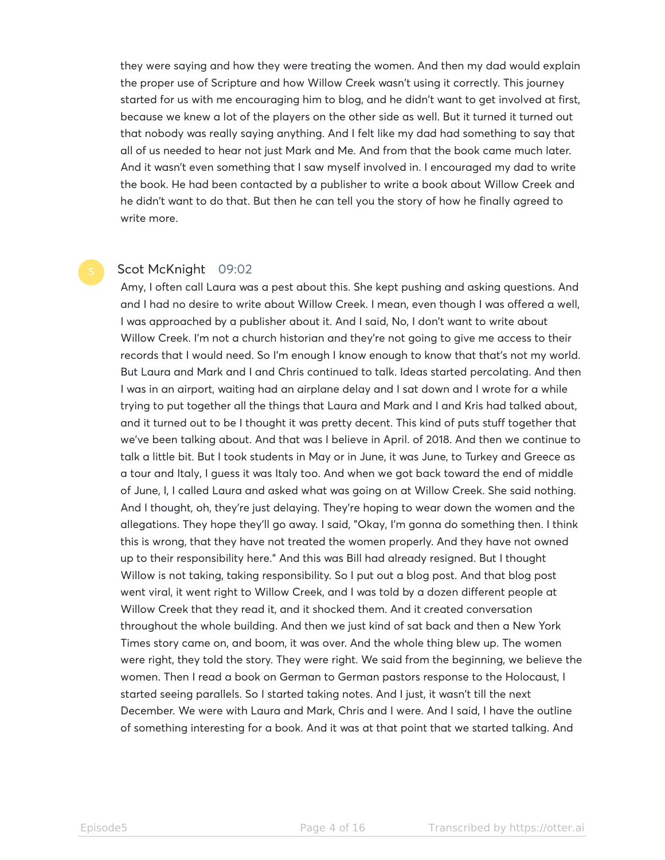they were saying and how they were treating the women. And then my dad would explain the proper use of Scripture and how Willow Creek wasn't using it correctly. This journey started for us with me encouraging him to blog, and he didn't want to get involved at first, because we knew a lot of the players on the other side as well. But it turned it turned out that nobody was really saying anything. And I felt like my dad had something to say that all of us needed to hear not just Mark and Me. And from that the book came much later. And it wasn't even something that I saw myself involved in. I encouraged my dad to write the book. He had been contacted by a publisher to write a book about Willow Creek and he didn't want to do that. But then he can tell you the story of how he finally agreed to write more.

#### Scot McKnight 09:02

Amy, I often call Laura was a pest about this. She kept pushing and asking questions. And and I had no desire to write about Willow Creek. I mean, even though I was offered a well, I was approached by a publisher about it. And I said, No, I don't want to write about Willow Creek. I'm not a church historian and they're not going to give me access to their records that I would need. So I'm enough I know enough to know that that's not my world. But Laura and Mark and I and Chris continued to talk. Ideas started percolating. And then I was in an airport, waiting had an airplane delay and I sat down and I wrote for a while trying to put together all the things that Laura and Mark and I and Kris had talked about, and it turned out to be I thought it was pretty decent. This kind of puts stuff together that we've been talking about. And that was I believe in April. of 2018. And then we continue to talk a little bit. But I took students in May or in June, it was June, to Turkey and Greece as a tour and Italy, I guess it was Italy too. And when we got back toward the end of middle of June, I, I called Laura and asked what was going on at Willow Creek. She said nothing. And I thought, oh, they're just delaying. They're hoping to wear down the women and the allegations. They hope they'll go away. I said, "Okay, I'm gonna do something then. I think this is wrong, that they have not treated the women properly. And they have not owned up to their responsibility here." And this was Bill had already resigned. But I thought Willow is not taking, taking responsibility. So I put out a blog post. And that blog post went viral, it went right to Willow Creek, and I was told by a dozen different people at Willow Creek that they read it, and it shocked them. And it created conversation throughout the whole building. And then we just kind of sat back and then a New York Times story came on, and boom, it was over. And the whole thing blew up. The women were right, they told the story. They were right. We said from the beginning, we believe the women. Then I read a book on German to German pastors response to the Holocaust, I started seeing parallels. So I started taking notes. And I just, it wasn't till the next December. We were with Laura and Mark, Chris and I were. And I said, I have the outline of something interesting for a book. And it was at that point that we started talking. And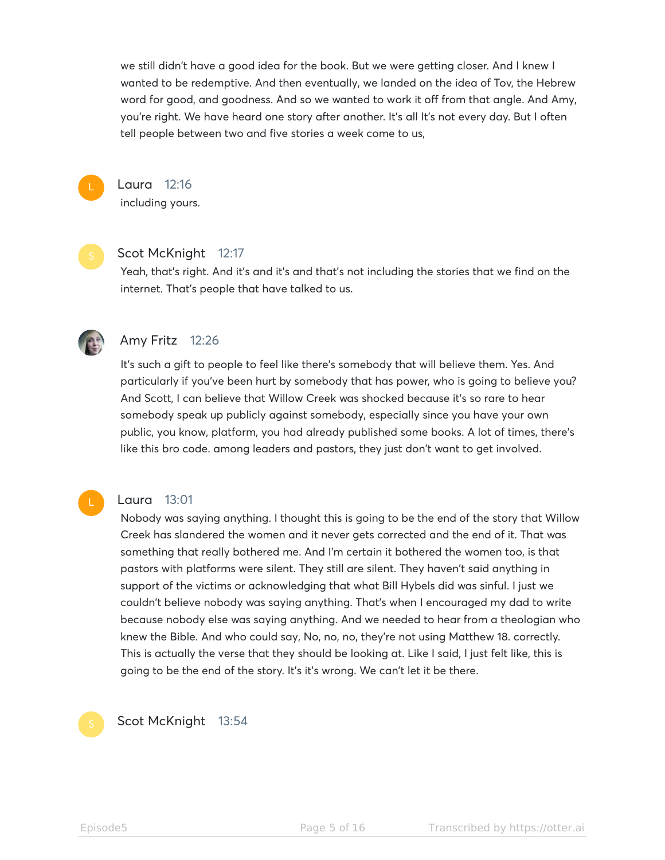we still didn't have a good idea for the book. But we were getting closer. And I knew I wanted to be redemptive. And then eventually, we landed on the idea of Tov, the Hebrew word for good, and goodness. And so we wanted to work it off from that angle. And Amy, you're right. We have heard one story after another. It's all It's not every day. But I often tell people between two and five stories a week come to us,



Laura 12:16 including yours.



#### Scot McKnight 12:17

Yeah, that's right. And it's and it's and that's not including the stories that we find on the internet. That's people that have talked to us.



#### Amy Fritz 12:26

It's such a gift to people to feel like there's somebody that will believe them. Yes. And particularly if you've been hurt by somebody that has power, who is going to believe you? And Scott, I can believe that Willow Creek was shocked because it's so rare to hear somebody speak up publicly against somebody, especially since you have your own public, you know, platform, you had already published some books. A lot of times, there's like this bro code. among leaders and pastors, they just don't want to get involved.

#### Laura 13:01

Nobody was saying anything. I thought this is going to be the end of the story that Willow Creek has slandered the women and it never gets corrected and the end of it. That was something that really bothered me. And I'm certain it bothered the women too, is that pastors with platforms were silent. They still are silent. They haven't said anything in support of the victims or acknowledging that what Bill Hybels did was sinful. I just we couldn't believe nobody was saying anything. That's when I encouraged my dad to write because nobody else was saying anything. And we needed to hear from a theologian who knew the Bible. And who could say, No, no, no, they're not using Matthew 18. correctly. This is actually the verse that they should be looking at. Like I said, I just felt like, this is going to be the end of the story. It's it's wrong. We can't let it be there.

### Scot McKnight 13:54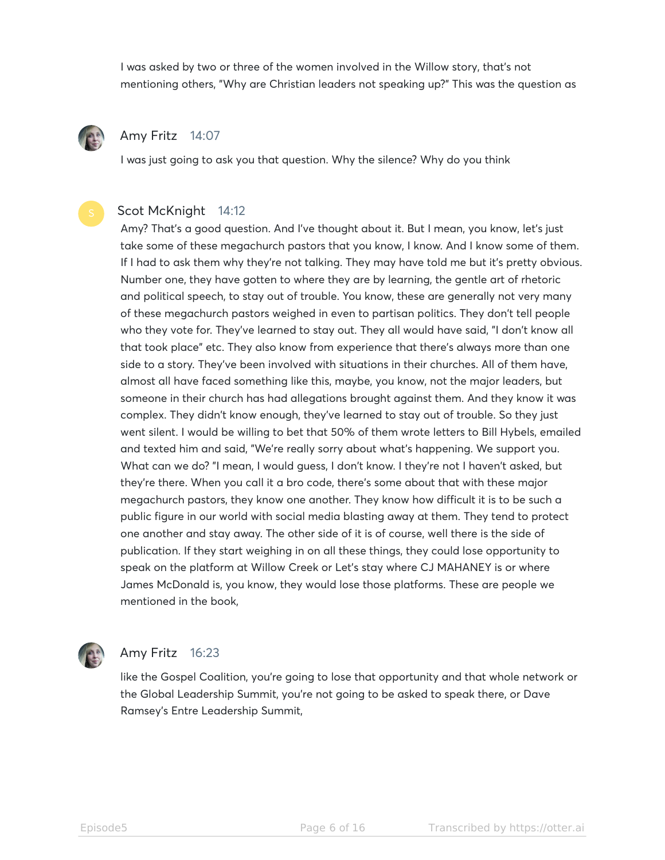I was asked by two or three of the women involved in the Willow story, that's not mentioning others, "Why are Christian leaders not speaking up?" This was the question as



#### Amy Fritz 14:07

I was just going to ask you that question. Why the silence? Why do you think

#### Scot McKnight 14:12

Amy? That's a good question. And I've thought about it. But I mean, you know, let's just take some of these megachurch pastors that you know, I know. And I know some of them. If I had to ask them why they're not talking. They may have told me but it's pretty obvious. Number one, they have gotten to where they are by learning, the gentle art of rhetoric and political speech, to stay out of trouble. You know, these are generally not very many of these megachurch pastors weighed in even to partisan politics. They don't tell people who they vote for. They've learned to stay out. They all would have said, "I don't know all that took place" etc. They also know from experience that there's always more than one side to a story. They've been involved with situations in their churches. All of them have, almost all have faced something like this, maybe, you know, not the major leaders, but someone in their church has had allegations brought against them. And they know it was complex. They didn't know enough, they've learned to stay out of trouble. So they just went silent. I would be willing to bet that 50% of them wrote letters to Bill Hybels, emailed and texted him and said, "We're really sorry about what's happening. We support you. What can we do? "I mean, I would guess, I don't know. I they're not I haven't asked, but they're there. When you call it a bro code, there's some about that with these major megachurch pastors, they know one another. They know how difficult it is to be such a public figure in our world with social media blasting away at them. They tend to protect one another and stay away. The other side of it is of course, well there is the side of publication. If they start weighing in on all these things, they could lose opportunity to speak on the platform at Willow Creek or Let's stay where CJ MAHANEY is or where James McDonald is, you know, they would lose those platforms. These are people we mentioned in the book,



#### Amy Fritz 16:23

like the Gospel Coalition, you're going to lose that opportunity and that whole network or the Global Leadership Summit, you're not going to be asked to speak there, or Dave Ramsey's Entre Leadership Summit,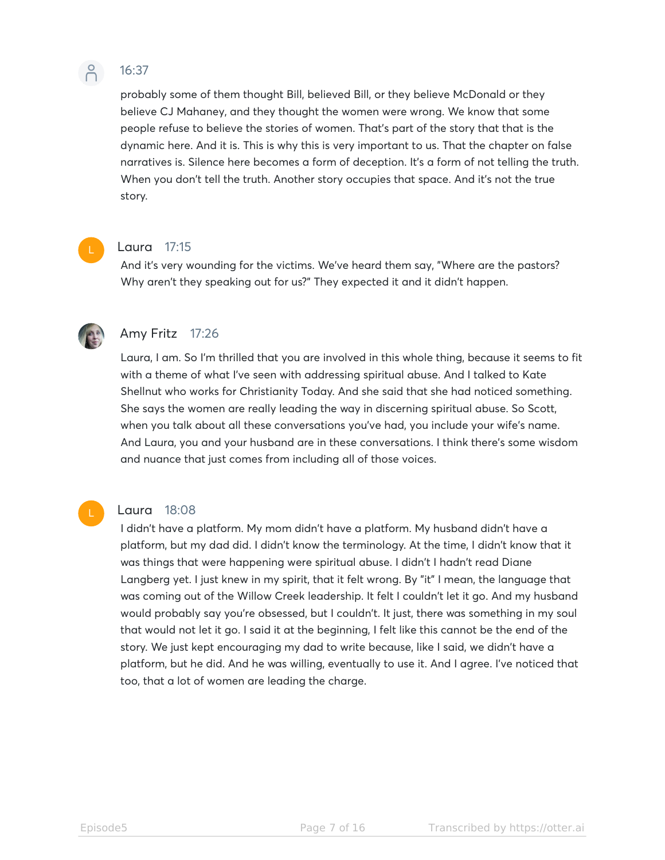

### 16:37

probably some of them thought Bill, believed Bill, or they believe McDonald or they believe CJ Mahaney, and they thought the women were wrong. We know that some people refuse to believe the stories of women. That's part of the story that that is the dynamic here. And it is. This is why this is very important to us. That the chapter on false narratives is. Silence here becomes a form of deception. It's a form of not telling the truth. When you don't tell the truth. Another story occupies that space. And it's not the true story.



#### Laura 17:15

And it's very wounding for the victims. We've heard them say, "Where are the pastors? Why aren't they speaking out for us?" They expected it and it didn't happen.



#### Amy Fritz 17:26

Laura, I am. So I'm thrilled that you are involved in this whole thing, because it seems to fit with a theme of what I've seen with addressing spiritual abuse. And I talked to Kate Shellnut who works for Christianity Today. And she said that she had noticed something. She says the women are really leading the way in discerning spiritual abuse. So Scott, when you talk about all these conversations you've had, you include your wife's name. And Laura, you and your husband are in these conversations. I think there's some wisdom and nuance that just comes from including all of those voices.

#### Laura 18:08

I didn't have a platform. My mom didn't have a platform. My husband didn't have a platform, but my dad did. I didn't know the terminology. At the time, I didn't know that it was things that were happening were spiritual abuse. I didn't I hadn't read Diane Langberg yet. I just knew in my spirit, that it felt wrong. By "it" I mean, the language that was coming out of the Willow Creek leadership. It felt I couldn't let it go. And my husband would probably say you're obsessed, but I couldn't. It just, there was something in my soul that would not let it go. I said it at the beginning, I felt like this cannot be the end of the story. We just kept encouraging my dad to write because, like I said, we didn't have a platform, but he did. And he was willing, eventually to use it. And I agree. I've noticed that too, that a lot of women are leading the charge.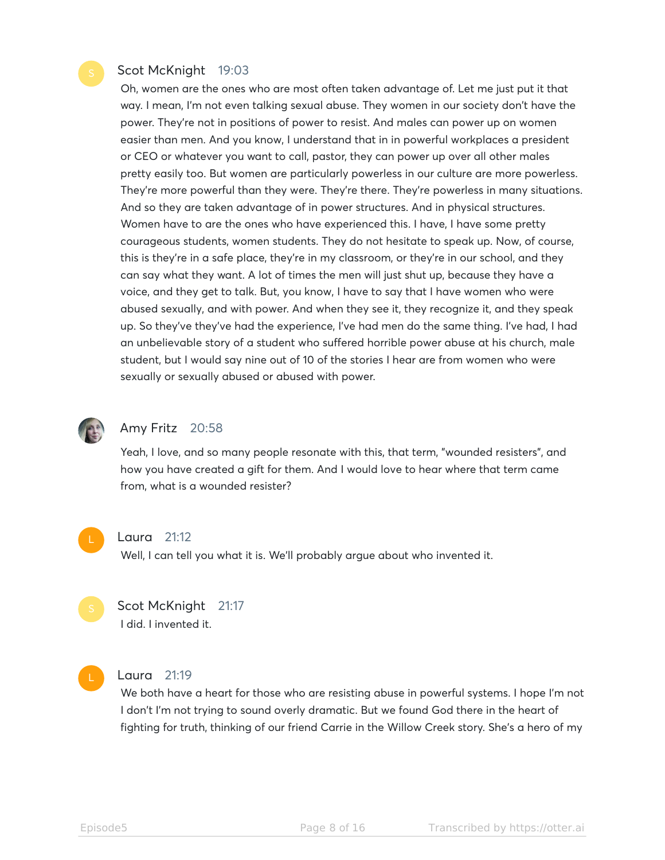#### Scot McKnight 19:03

Oh, women are the ones who are most often taken advantage of. Let me just put it that way. I mean, I'm not even talking sexual abuse. They women in our society don't have the power. They're not in positions of power to resist. And males can power up on women easier than men. And you know, I understand that in in powerful workplaces a president or CEO or whatever you want to call, pastor, they can power up over all other males pretty easily too. But women are particularly powerless in our culture are more powerless. They're more powerful than they were. They're there. They're powerless in many situations. And so they are taken advantage of in power structures. And in physical structures. Women have to are the ones who have experienced this. I have, I have some pretty courageous students, women students. They do not hesitate to speak up. Now, of course, this is they're in a safe place, they're in my classroom, or they're in our school, and they can say what they want. A lot of times the men will just shut up, because they have a voice, and they get to talk. But, you know, I have to say that I have women who were abused sexually, and with power. And when they see it, they recognize it, and they speak up. So they've they've had the experience, I've had men do the same thing. I've had, I had an unbelievable story of a student who suffered horrible power abuse at his church, male student, but I would say nine out of 10 of the stories I hear are from women who were sexually or sexually abused or abused with power.



#### Amy Fritz 20:58

Yeah, I love, and so many people resonate with this, that term, "wounded resisters", and how you have created a gift for them. And I would love to hear where that term came from, what is a wounded resister?



#### Laura 21:12

Well, I can tell you what it is. We'll probably argue about who invented it.



## Scot McKnight 21:17

I did. I invented it.



#### Laura 21:19

We both have a heart for those who are resisting abuse in powerful systems. I hope I'm not I don't I'm not trying to sound overly dramatic. But we found God there in the heart of fighting for truth, thinking of our friend Carrie in the Willow Creek story. She's a hero of my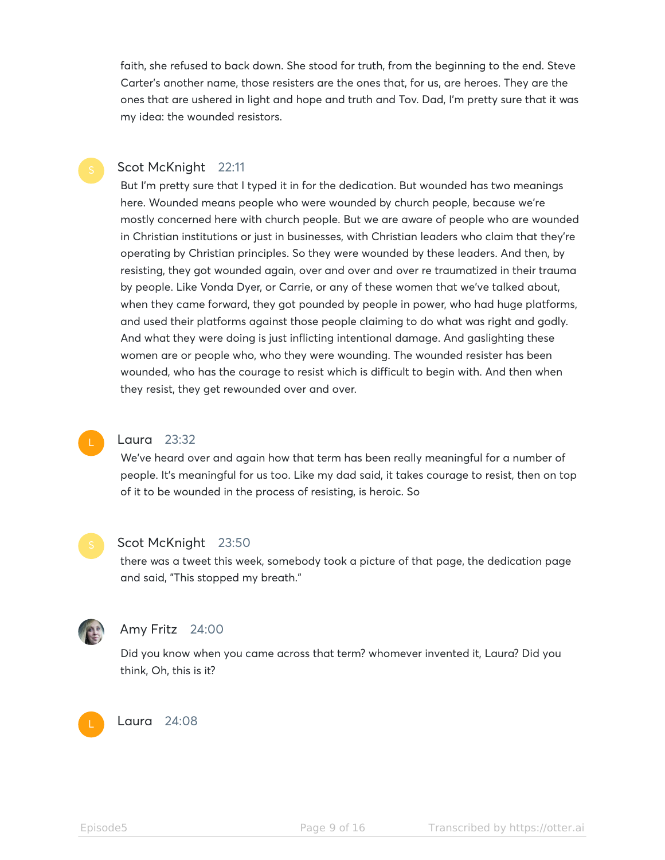faith, she refused to back down. She stood for truth, from the beginning to the end. Steve Carter's another name, those resisters are the ones that, for us, are heroes. They are the ones that are ushered in light and hope and truth and Tov. Dad, I'm pretty sure that it was my idea: the wounded resistors.

#### Scot McKnight 22:11

But I'm pretty sure that I typed it in for the dedication. But wounded has two meanings here. Wounded means people who were wounded by church people, because we're mostly concerned here with church people. But we are aware of people who are wounded in Christian institutions or just in businesses, with Christian leaders who claim that they're operating by Christian principles. So they were wounded by these leaders. And then, by resisting, they got wounded again, over and over and over re traumatized in their trauma by people. Like Vonda Dyer, or Carrie, or any of these women that we've talked about, when they came forward, they got pounded by people in power, who had huge platforms, and used their platforms against those people claiming to do what was right and godly. And what they were doing is just inflicting intentional damage. And gaslighting these women are or people who, who they were wounding. The wounded resister has been wounded, who has the courage to resist which is difficult to begin with. And then when they resist, they get rewounded over and over.

#### Laura 23:32

We've heard over and again how that term has been really meaningful for a number of people. It's meaningful for us too. Like my dad said, it takes courage to resist, then on top of it to be wounded in the process of resisting, is heroic. So



#### Scot McKnight 23:50

there was a tweet this week, somebody took a picture of that page, the dedication page and said, "This stopped my breath."



#### Amy Fritz 24:00

Did you know when you came across that term? whomever invented it, Laura? Did you think, Oh, this is it?



#### Laura 24:08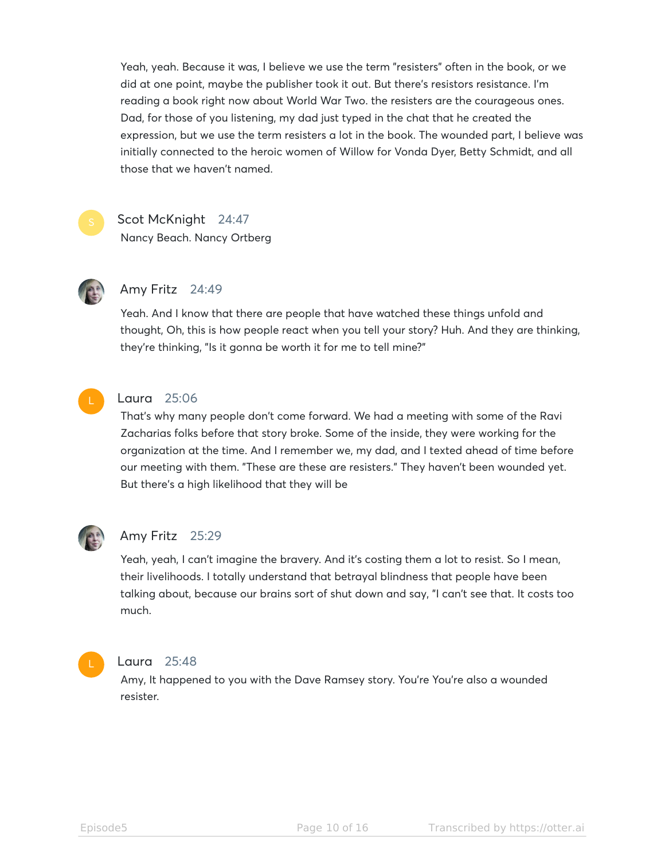Yeah, yeah. Because it was, I believe we use the term "resisters" often in the book, or we did at one point, maybe the publisher took it out. But there's resistors resistance. I'm reading a book right now about World War Two. the resisters are the courageous ones. Dad, for those of you listening, my dad just typed in the chat that he created the expression, but we use the term resisters a lot in the book. The wounded part, I believe was initially connected to the heroic women of Willow for Vonda Dyer, Betty Schmidt, and all those that we haven't named.



#### Scot McKnight 24:47

Nancy Beach. Nancy Ortberg



### Amy Fritz 24:49

Yeah. And I know that there are people that have watched these things unfold and thought, Oh, this is how people react when you tell your story? Huh. And they are thinking, they're thinking, "Is it gonna be worth it for me to tell mine?"



#### Laura 25:06

That's why many people don't come forward. We had a meeting with some of the Ravi Zacharias folks before that story broke. Some of the inside, they were working for the organization at the time. And I remember we, my dad, and I texted ahead of time before our meeting with them. "These are these are resisters." They haven't been wounded yet. But there's a high likelihood that they will be



#### Amy Fritz 25:29

Yeah, yeah, I can't imagine the bravery. And it's costing them a lot to resist. So I mean, their livelihoods. I totally understand that betrayal blindness that people have been talking about, because our brains sort of shut down and say, "I can't see that. It costs too much.



#### Laura 25:48

Amy, It happened to you with the Dave Ramsey story. You're You're also a wounded resister.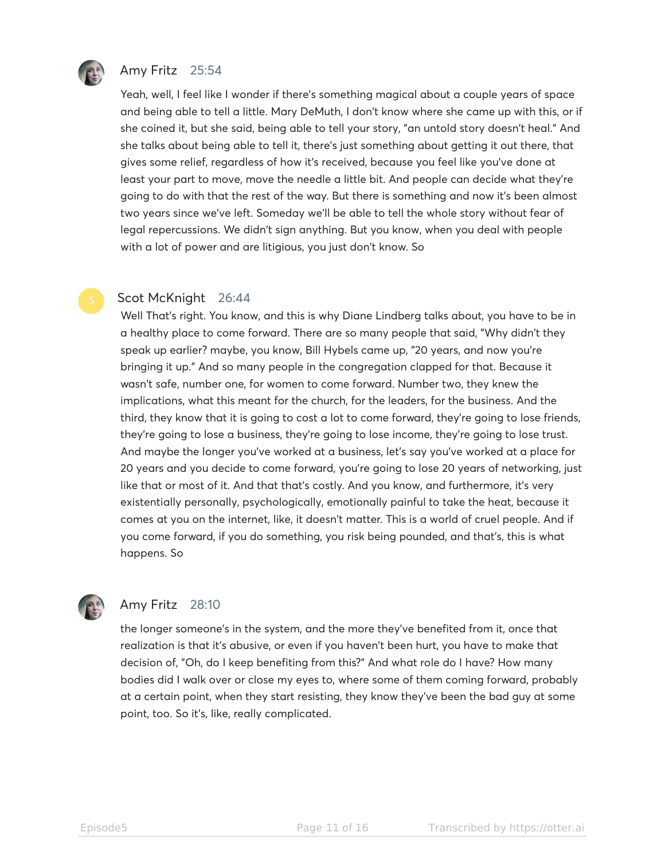

#### Amy Fritz 25:54

Yeah, well, I feel like I wonder if there's something magical about a couple years of space and being able to tell a little. Mary DeMuth, I don't know where she came up with this, or if she coined it, but she said, being able to tell your story, "an untold story doesn't heal." And she talks about being able to tell it, there's just something about getting it out there, that gives some relief, regardless of how it's received, because you feel like you've done at least your part to move, move the needle a little bit. And people can decide what they're going to do with that the rest of the way. But there is something and now it's been almost two years since we've left. Someday we'll be able to tell the whole story without fear of legal repercussions. We didn't sign anything. But you know, when you deal with people with a lot of power and are litigious, you just don't know. So

#### Scot McKnight 26:44

Well That's right. You know, and this is why Diane Lindberg talks about, you have to be in a healthy place to come forward. There are so many people that said, "Why didn't they speak up earlier? maybe, you know, Bill Hybels came up, "20 years, and now you're bringing it up." And so many people in the congregation clapped for that. Because it wasn't safe, number one, for women to come forward. Number two, they knew the implications, what this meant for the church, for the leaders, for the business. And the third, they know that it is going to cost a lot to come forward, they're going to lose friends, they're going to lose a business, they're going to lose income, they're going to lose trust. And maybe the longer you've worked at a business, let's say you've worked at a place for 20 years and you decide to come forward, you're going to lose 20 years of networking, just like that or most of it. And that that's costly. And you know, and furthermore, it's very existentially personally, psychologically, emotionally painful to take the heat, because it comes at you on the internet, like, it doesn't matter. This is a world of cruel people. And if you come forward, if you do something, you risk being pounded, and that's, this is what happens. So



#### Amy Fritz 28:10

the longer someone's in the system, and the more they've benefited from it, once that realization is that it's abusive, or even if you haven't been hurt, you have to make that decision of, "Oh, do I keep benefiting from this?" And what role do I have? How many bodies did I walk over or close my eyes to, where some of them coming forward, probably at a certain point, when they start resisting, they know they've been the bad guy at some point, too. So it's, like, really complicated.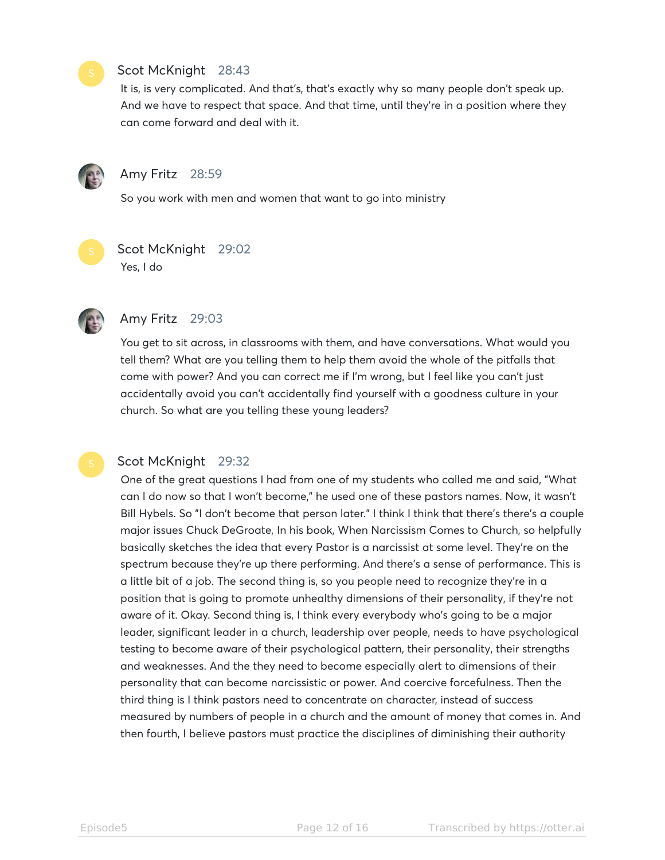#### Scot McKnight 28:43

It is, is very complicated. And that's, that's exactly why so many people don't speak up. And we have to respect that space. And that time, until they're in a position where they can come forward and deal with it.



#### Amy Fritz 28:59

So you work with men and women that want to go into ministry



## Scot McKnight 29:02

Yes, I do



### Amy Fritz 29:03

You get to sit across, in classrooms with them, and have conversations. What would you tell them? What are you telling them to help them avoid the whole of the pitfalls that come with power? And you can correct me if I'm wrong, but I feel like you can't just accidentally avoid you can't accidentally find yourself with a goodness culture in your church. So what are you telling these young leaders?

#### Scot McKnight 29:32

One of the great questions I had from one of my students who called me and said, "What can I do now so that I won't become," he used one of these pastors names. Now, it wasn't Bill Hybels. So "I don't become that person later." I think I think that there's there's a couple major issues Chuck DeGroate, In his book, When Narcissism Comes to Church, so helpfully basically sketches the idea that every Pastor is a narcissist at some level. They're on the spectrum because they're up there performing. And there's a sense of performance. This is a little bit of a job. The second thing is, so you people need to recognize they're in a position that is going to promote unhealthy dimensions of their personality, if they're not aware of it. Okay. Second thing is, I think every everybody who's going to be a major leader, significant leader in a church, leadership over people, needs to have psychological testing to become aware of their psychological pattern, their personality, their strengths and weaknesses. And the they need to become especially alert to dimensions of their personality that can become narcissistic or power. And coercive forcefulness. Then the third thing is I think pastors need to concentrate on character, instead of success measured by numbers of people in a church and the amount of money that comes in. And then fourth, I believe pastors must practice the disciplines of diminishing their authority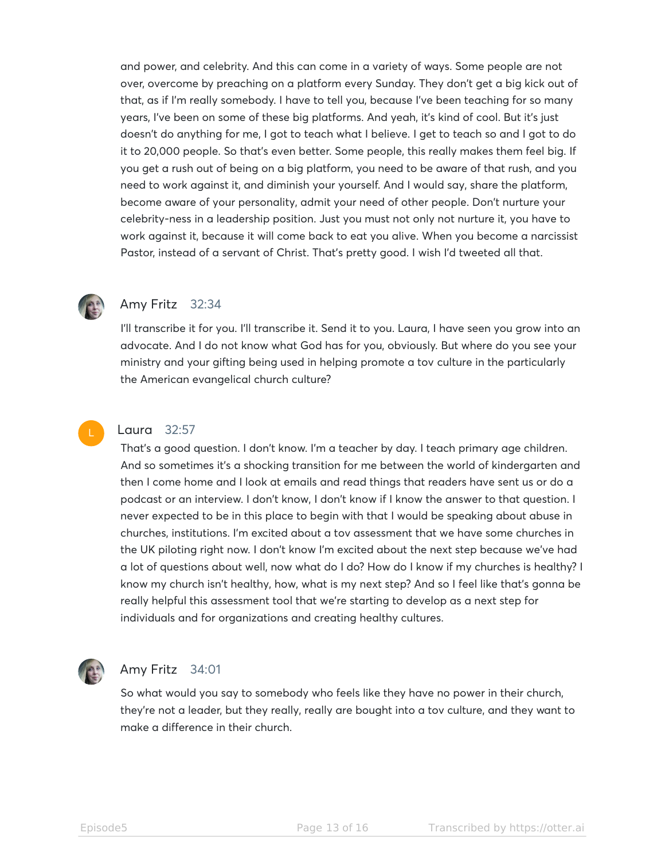and power, and celebrity. And this can come in a variety of ways. Some people are not over, overcome by preaching on a platform every Sunday. They don't get a big kick out of that, as if I'm really somebody. I have to tell you, because I've been teaching for so many years, I've been on some of these big platforms. And yeah, it's kind of cool. But it's just doesn't do anything for me, I got to teach what I believe. I get to teach so and I got to do it to 20,000 people. So that's even better. Some people, this really makes them feel big. If you get a rush out of being on a big platform, you need to be aware of that rush, and you need to work against it, and diminish your yourself. And I would say, share the platform, become aware of your personality, admit your need of other people. Don't nurture your celebrity-ness in a leadership position. Just you must not only not nurture it, you have to work against it, because it will come back to eat you alive. When you become a narcissist Pastor, instead of a servant of Christ. That's pretty good. I wish I'd tweeted all that.



#### Amy Fritz 32:34

I'll transcribe it for you. I'll transcribe it. Send it to you. Laura, I have seen you grow into an advocate. And I do not know what God has for you, obviously. But where do you see your ministry and your gifting being used in helping promote a tov culture in the particularly the American evangelical church culture?



#### Laura 32:57

That's a good question. I don't know. I'm a teacher by day. I teach primary age children. And so sometimes it's a shocking transition for me between the world of kindergarten and then I come home and I look at emails and read things that readers have sent us or do a podcast or an interview. I don't know, I don't know if I know the answer to that question. I never expected to be in this place to begin with that I would be speaking about abuse in churches, institutions. I'm excited about a tov assessment that we have some churches in the UK piloting right now. I don't know I'm excited about the next step because we've had a lot of questions about well, now what do I do? How do I know if my churches is healthy? I know my church isn't healthy, how, what is my next step? And so I feel like that's gonna be really helpful this assessment tool that we're starting to develop as a next step for individuals and for organizations and creating healthy cultures.



#### Amy Fritz 34:01

So what would you say to somebody who feels like they have no power in their church, they're not a leader, but they really, really are bought into a tov culture, and they want to make a difference in their church.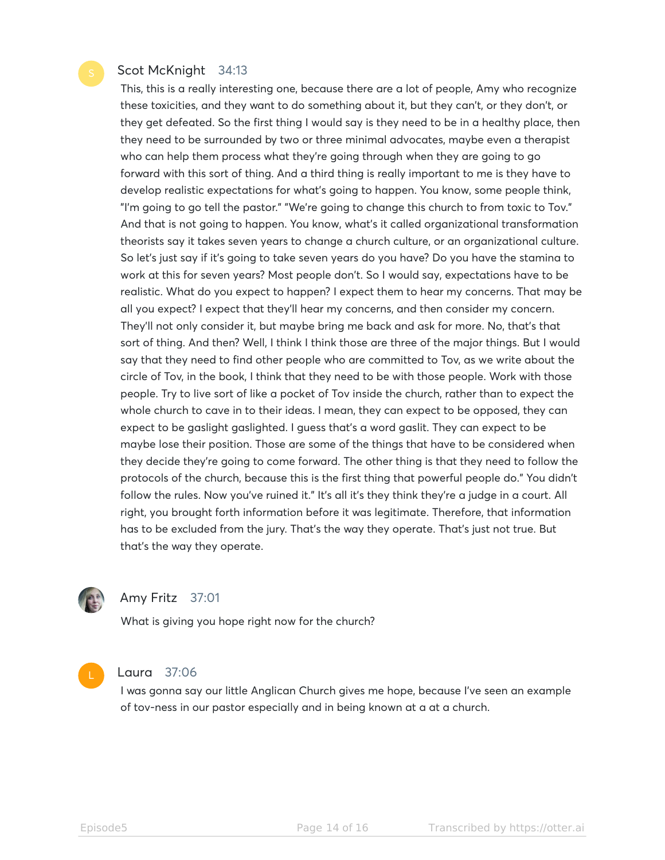#### Scot McKnight 34:13

This, this is a really interesting one, because there are a lot of people, Amy who recognize these toxicities, and they want to do something about it, but they can't, or they don't, or they get defeated. So the first thing I would say is they need to be in a healthy place, then they need to be surrounded by two or three minimal advocates, maybe even a therapist who can help them process what they're going through when they are going to go forward with this sort of thing. And a third thing is really important to me is they have to develop realistic expectations for what's going to happen. You know, some people think, "I'm going to go tell the pastor." "We're going to change this church to from toxic to Tov." And that is not going to happen. You know, what's it called organizational transformation theorists say it takes seven years to change a church culture, or an organizational culture. So let's just say if it's going to take seven years do you have? Do you have the stamina to work at this for seven years? Most people don't. So I would say, expectations have to be realistic. What do you expect to happen? I expect them to hear my concerns. That may be all you expect? I expect that they'll hear my concerns, and then consider my concern. They'll not only consider it, but maybe bring me back and ask for more. No, that's that sort of thing. And then? Well, I think I think those are three of the major things. But I would say that they need to find other people who are committed to Tov, as we write about the circle of Tov, in the book, I think that they need to be with those people. Work with those people. Try to live sort of like a pocket of Tov inside the church, rather than to expect the whole church to cave in to their ideas. I mean, they can expect to be opposed, they can expect to be gaslight gaslighted. I guess that's a word gaslit. They can expect to be maybe lose their position. Those are some of the things that have to be considered when they decide they're going to come forward. The other thing is that they need to follow the protocols of the church, because this is the first thing that powerful people do." You didn't follow the rules. Now you've ruined it." It's all it's they think they're a judge in a court. All right, you brought forth information before it was legitimate. Therefore, that information has to be excluded from the jury. That's the way they operate. That's just not true. But that's the way they operate.



#### Amy Fritz 37:01

What is giving you hope right now for the church?



#### Laura 37:06

I was gonna say our little Anglican Church gives me hope, because I've seen an example of tov-ness in our pastor especially and in being known at a at a church.